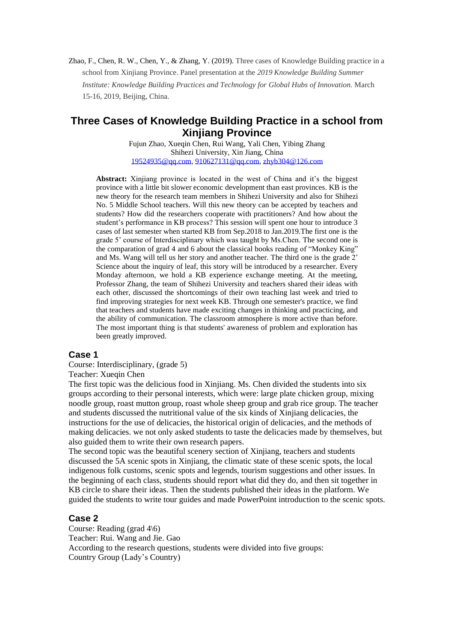Zhao, F., Chen, R. W., Chen, Y., & Zhang, Y. (2019). Three cases of Knowledge Building practice in a school from Xinjiang Province. Panel presentation at the *2019 Knowledge Building Summer Institute: Knowledge Building Practices and Technology for Global Hubs of Innovation.* March 15-16, 2019, Beijing, China.

## **Three Cases of Knowledge Building Practice in a school from Xinjiang Province**

Fujun Zhao, Xueqin Chen, Rui Wang, Yali Chen, Yibing Zhang Shihezi University, Xin Jiang, China [19524935@qq.com,](mailto:19524935@qq.com) [910627131@qq.com,](mailto:910627131@qq.com) [zhyb304@126.com](mailto:zhyb304@126.com)

**Abstract:** Xinjiang province is located in the west of China and it's the biggest province with a little bit slower economic development than east provinces. KB is the new theory for the research team members in Shihezi University and also for Shihezi No. 5 Middle School teachers. Will this new theory can be accepted by teachers and students? How did the researchers cooperate with practitioners? And how about the student's performance in KB process? This session will spent one hour to introduce 3 cases of last semester when started KB from Sep.2018 to Jan.2019.The first one is the grade 5' course of Interdisciplinary which was taught by Ms.Chen. The second one is the comparation of grad 4 and 6 about the classical books reading of "Monkey King" and Ms. Wang will tell us her story and another teacher. The third one is the grade 2' Science about the inquiry of leaf, this story will be introduced by a researcher. Every Monday afternoon, we hold a KB experience exchange meeting. At the meeting, Professor Zhang, the team of Shihezi University and teachers shared their ideas with each other, discussed the shortcomings of their own teaching last week and tried to find improving strategies for next week KB. Through one semester's practice, we find that teachers and students have made exciting changes in thinking and practicing, and the ability of communication. The classroom atmosphere is more active than before. The most important thing is that students' awareness of problem and exploration has been greatly improved.

## **Case 1**

Course: Interdisciplinary, (grade 5) Teacher: Xueqin Chen

The first topic was the delicious food in Xinjiang. Ms. Chen divided the students into six groups according to their personal interests, which were: large plate chicken group, mixing noodle group, roast mutton group, roast whole sheep group and grab rice group. The teacher and students discussed the nutritional value of the six kinds of Xinjiang delicacies, the instructions for the use of delicacies, the historical origin of delicacies, and the methods of making delicacies. we not only asked students to taste the delicacies made by themselves, but also guided them to write their own research papers.

The second topic was the beautiful scenery section of Xinjiang, teachers and students discussed the 5A scenic spots in Xinjiang, the climatic state of these scenic spots, the local indigenous folk customs, scenic spots and legends, tourism suggestions and other issues. In the beginning of each class, students should report what did they do, and then sit together in KB circle to share their ideas. Then the students published their ideas in the platform. We guided the students to write tour guides and made PowerPoint introduction to the scenic spots.

## **Case 2**

Course: Reading (grad 4\6) Teacher: Rui. Wang and Jie. Gao According to the research questions, students were divided into five groups: Country Group (Lady's Country)